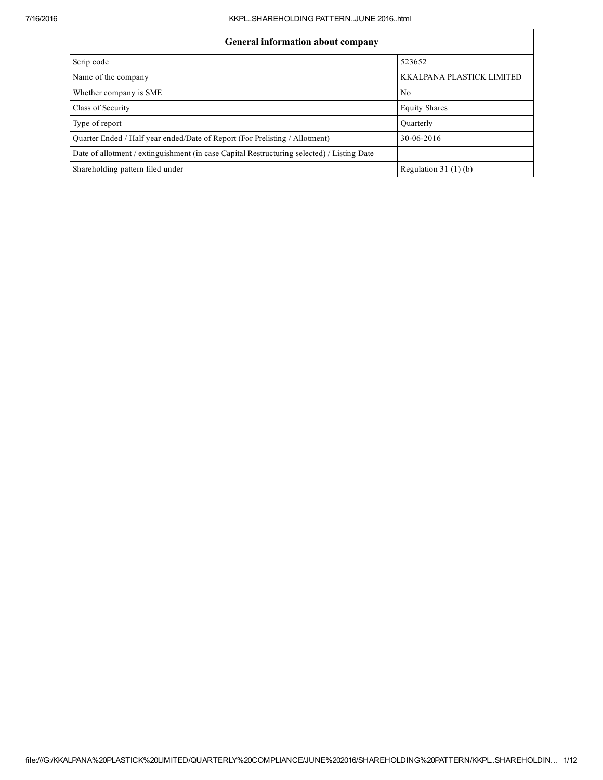| <b>General information about company</b> |
|------------------------------------------|
|------------------------------------------|

| General information about company                                                          |                           |  |  |  |  |  |  |
|--------------------------------------------------------------------------------------------|---------------------------|--|--|--|--|--|--|
| Scrip code                                                                                 | 523652                    |  |  |  |  |  |  |
| Name of the company                                                                        | KKALPANA PLASTICK LIMITED |  |  |  |  |  |  |
| Whether company is SME                                                                     | N <sub>0</sub>            |  |  |  |  |  |  |
| Class of Security                                                                          | <b>Equity Shares</b>      |  |  |  |  |  |  |
| Type of report                                                                             | Ouarterly                 |  |  |  |  |  |  |
| Quarter Ended / Half year ended/Date of Report (For Prelisting / Allotment)                | 30-06-2016                |  |  |  |  |  |  |
| Date of allotment / extinguishment (in case Capital Restructuring selected) / Listing Date |                           |  |  |  |  |  |  |
| Shareholding pattern filed under                                                           | Regulation $31(1)(b)$     |  |  |  |  |  |  |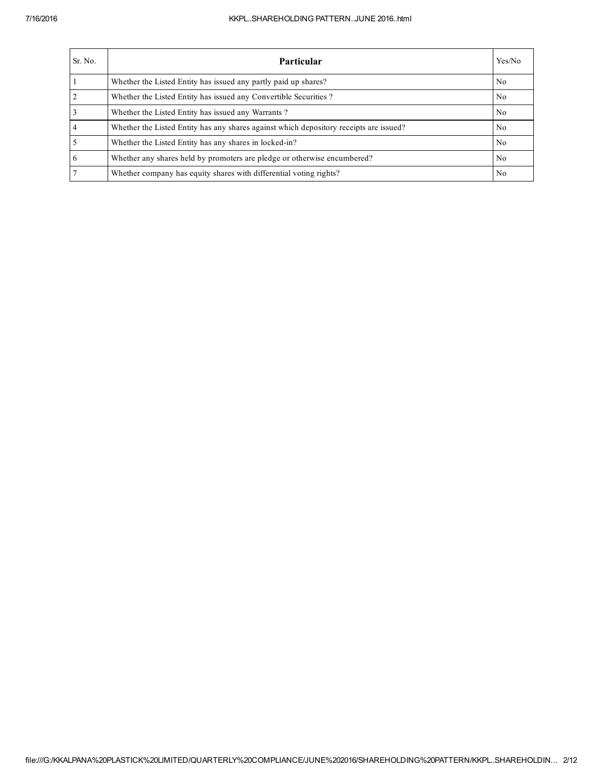## 7/16/2016 KKPL..SHAREHOLDING PATTERN..JUNE 2016..html

| Sr. No. | Particular                                                                             | Yes/No         |
|---------|----------------------------------------------------------------------------------------|----------------|
|         | Whether the Listed Entity has issued any partly paid up shares?                        | N <sub>0</sub> |
|         | Whether the Listed Entity has issued any Convertible Securities?                       | N <sub>0</sub> |
|         | Whether the Listed Entity has issued any Warrants?                                     | N <sub>0</sub> |
|         | Whether the Listed Entity has any shares against which depository receipts are issued? | No             |
|         | Whether the Listed Entity has any shares in locked-in?                                 | N <sub>0</sub> |
| 6       | Whether any shares held by promoters are pledge or otherwise encumbered?               | N <sub>0</sub> |
|         | Whether company has equity shares with differential voting rights?                     | N <sub>0</sub> |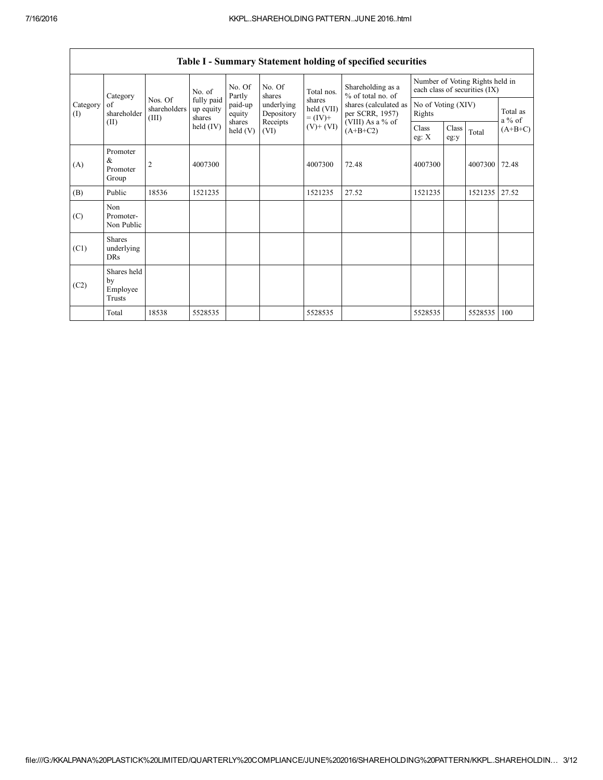|                 | Category                                  |                                                                                                                                                                                                          | No. of                       | No. Of<br>Partly  | No. Of           | Total nos.<br>shares                         | Shareholding as a<br>% of total no. of | Number of Voting Rights held in<br>each class of securities (IX) |               |               |           |
|-----------------|-------------------------------------------|----------------------------------------------------------------------------------------------------------------------------------------------------------------------------------------------------------|------------------------------|-------------------|------------------|----------------------------------------------|----------------------------------------|------------------------------------------------------------------|---------------|---------------|-----------|
| Category<br>(I) | of<br>shareholder                         | fully paid<br>Nos. Of<br>shares<br>paid-up<br>underlying<br>shares (calculated as<br>held (VII)<br>shareholders<br>up equity<br>per SCRR, 1957)<br>Depository<br>equity<br>(III)<br>$= (IV) +$<br>shares | No of Voting (XIV)<br>Rights |                   |                  | Total as<br>$a\%$ of                         |                                        |                                                                  |               |               |           |
|                 | (II)                                      |                                                                                                                                                                                                          | held $(IV)$                  | shares<br>held(V) | Receipts<br>(VI) | (VIII) As a % of<br>$(V)+(VI)$<br>$(A+B+C2)$ |                                        | Class<br>eg: $X$                                                 | Class<br>eg:y | Total         | $(A+B+C)$ |
| (A)             | Promoter<br>$\&$<br>Promoter<br>Group     | $\overline{2}$                                                                                                                                                                                           | 4007300                      |                   |                  | 4007300                                      | 72.48                                  | 4007300                                                          |               | 4007300 72.48 |           |
| (B)             | Public                                    | 18536                                                                                                                                                                                                    | 1521235                      |                   |                  | 1521235                                      | 27.52                                  | 1521235                                                          |               | 1521235 27.52 |           |
| (C)             | Non<br>Promoter-<br>Non Public            |                                                                                                                                                                                                          |                              |                   |                  |                                              |                                        |                                                                  |               |               |           |
| (C1)            | <b>Shares</b><br>underlying<br><b>DRs</b> |                                                                                                                                                                                                          |                              |                   |                  |                                              |                                        |                                                                  |               |               |           |
| (C2)            | Shares held<br>by<br>Employee<br>Trusts   |                                                                                                                                                                                                          |                              |                   |                  |                                              |                                        |                                                                  |               |               |           |
|                 | Total                                     | 18538                                                                                                                                                                                                    | 5528535                      |                   |                  | 5528535                                      |                                        | 5528535                                                          |               | 5528535       | 100       |

| Table I - Summary Statement holding of specified securities |  |  |  |
|-------------------------------------------------------------|--|--|--|
|-------------------------------------------------------------|--|--|--|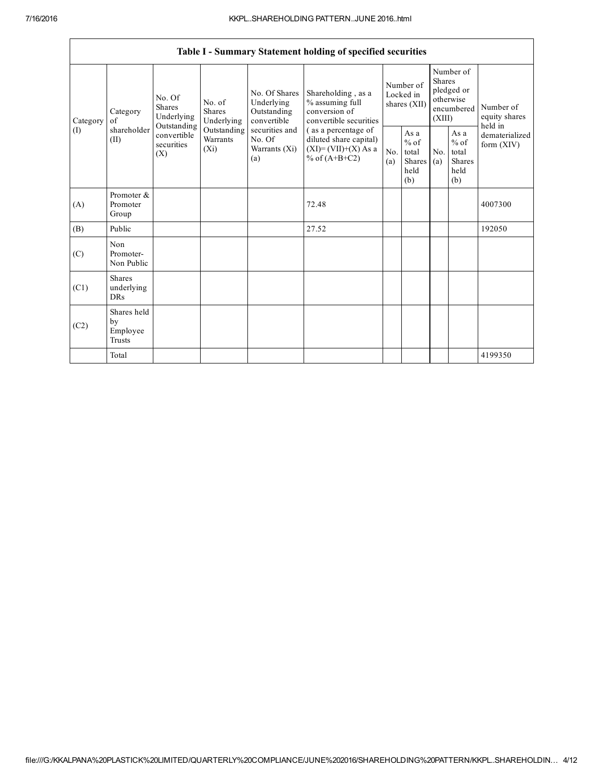|          | Table I - Summary Statement holding of specified securities |                                                                                                                                                                 |                                                      |                                       |                                                           |                                                                                  |                                                         |            |                                                                               |                                |                                       |  |
|----------|-------------------------------------------------------------|-----------------------------------------------------------------------------------------------------------------------------------------------------------------|------------------------------------------------------|---------------------------------------|-----------------------------------------------------------|----------------------------------------------------------------------------------|---------------------------------------------------------|------------|-------------------------------------------------------------------------------|--------------------------------|---------------------------------------|--|
| Category | Category<br>of                                              |                                                                                                                                                                 | No. Of<br><b>Shares</b><br>Underlying<br>Outstanding | No. of<br><b>Shares</b><br>Underlying | No. Of Shares<br>Underlying<br>Outstanding<br>convertible | Shareholding, as a<br>% assuming full<br>conversion of<br>convertible securities | Number of<br>Locked in<br>shares (XII)                  |            | Number of<br><b>Shares</b><br>pledged or<br>otherwise<br>encumbered<br>(XIII) |                                | Number of<br>equity shares<br>held in |  |
| (1)      | shareholder<br>(II)                                         | convertible<br>Warrants<br>No. Of<br>diluted share capital)<br>securities<br>$(X_i)$<br>$(XI)=(VII)+(X) As a$<br>Warrants (Xi)<br>(X)<br>% of $(A+B+C2)$<br>(a) | Outstanding<br>securities and<br>(as a percentage of |                                       |                                                           | No.<br>(a)                                                                       | As a<br>$%$ of<br>total<br><b>Shares</b><br>held<br>(b) | No.<br>(a) | As a<br>$%$ of<br>total<br><b>Shares</b><br>held<br>(b)                       | dematerialized<br>form $(XIV)$ |                                       |  |
| (A)      | Promoter &<br>Promoter<br>Group                             |                                                                                                                                                                 |                                                      |                                       | 72.48                                                     |                                                                                  |                                                         |            |                                                                               | 4007300                        |                                       |  |
| (B)      | Public                                                      |                                                                                                                                                                 |                                                      |                                       | 27.52                                                     |                                                                                  |                                                         |            |                                                                               | 192050                         |                                       |  |
| (C)      | Non<br>Promoter-<br>Non Public                              |                                                                                                                                                                 |                                                      |                                       |                                                           |                                                                                  |                                                         |            |                                                                               |                                |                                       |  |
| (C1)     | <b>Shares</b><br>underlying<br><b>DRs</b>                   |                                                                                                                                                                 |                                                      |                                       |                                                           |                                                                                  |                                                         |            |                                                                               |                                |                                       |  |
| (C2)     | Shares held<br>by<br>Employee<br><b>Trusts</b>              |                                                                                                                                                                 |                                                      |                                       |                                                           |                                                                                  |                                                         |            |                                                                               |                                |                                       |  |
|          | Total                                                       |                                                                                                                                                                 |                                                      |                                       |                                                           |                                                                                  |                                                         |            |                                                                               | 4199350                        |                                       |  |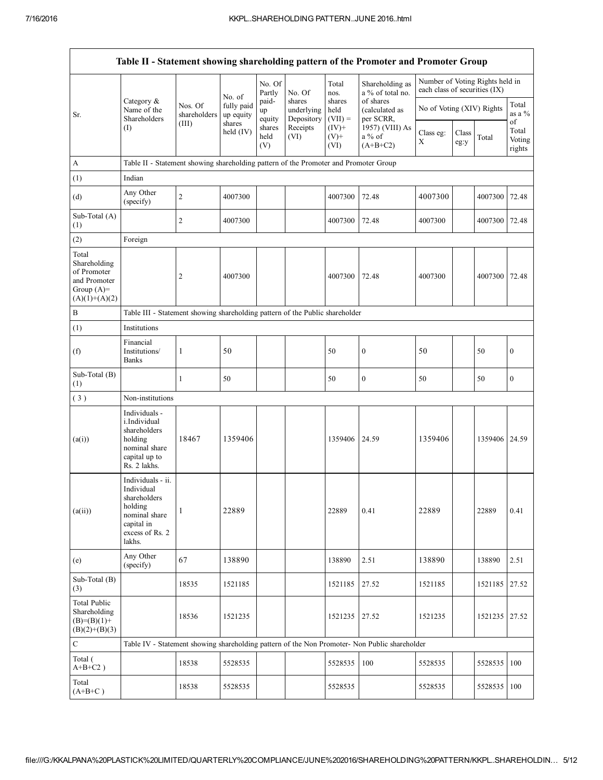| Table II - Statement showing shareholding pattern of the Promoter and Promoter Group    |                                                                                                                        |                                                                                      |                         |                       |                                    |                             |                                                                                               |                                                                  |               |               |                                 |  |  |  |
|-----------------------------------------------------------------------------------------|------------------------------------------------------------------------------------------------------------------------|--------------------------------------------------------------------------------------|-------------------------|-----------------------|------------------------------------|-----------------------------|-----------------------------------------------------------------------------------------------|------------------------------------------------------------------|---------------|---------------|---------------------------------|--|--|--|
|                                                                                         |                                                                                                                        |                                                                                      | No. of                  | No. Of<br>Partly      | No. Of                             | Total<br>nos.               | Shareholding as<br>a % of total no.                                                           | Number of Voting Rights held in<br>each class of securities (IX) |               |               |                                 |  |  |  |
| Sr.                                                                                     | Category $\&$<br>Name of the<br>Shareholders                                                                           | Nos. Of<br>shareholders                                                              | fully paid<br>up equity | paid-<br>up<br>equity | shares<br>underlying<br>Depository | shares<br>held<br>$(VII) =$ | of shares<br>(calculated as<br>per SCRR,                                                      | No of Voting (XIV) Rights                                        |               |               | Total<br>as a $%$               |  |  |  |
|                                                                                         | (I)                                                                                                                    | (III)                                                                                | shares<br>held $(IV)$   | shares<br>held<br>(V) | Receipts<br>(VI)                   | $(IV)+$<br>$(V)$ +<br>(VI)  | 1957) (VIII) As<br>$a\%$ of<br>$(A+B+C2)$                                                     | Class eg:<br>X                                                   | Class<br>eg:y | Total         | of<br>Total<br>Voting<br>rights |  |  |  |
| A                                                                                       |                                                                                                                        | Table II - Statement showing shareholding pattern of the Promoter and Promoter Group |                         |                       |                                    |                             |                                                                                               |                                                                  |               |               |                                 |  |  |  |
| (1)                                                                                     | Indian                                                                                                                 |                                                                                      |                         |                       |                                    |                             |                                                                                               |                                                                  |               |               |                                 |  |  |  |
| (d)                                                                                     | Any Other<br>(specify)                                                                                                 | $\overline{c}$                                                                       | 4007300                 |                       |                                    | 4007300                     | 72.48                                                                                         | 4007300                                                          |               | 4007300       | 72.48                           |  |  |  |
| Sub-Total (A)<br>(1)                                                                    |                                                                                                                        | 2                                                                                    | 4007300                 |                       |                                    | 4007300                     | 72.48                                                                                         | 4007300                                                          |               | 4007300       | 72.48                           |  |  |  |
| (2)                                                                                     | Foreign                                                                                                                |                                                                                      |                         |                       |                                    |                             |                                                                                               |                                                                  |               |               |                                 |  |  |  |
| Total<br>Shareholding<br>of Promoter<br>and Promoter<br>Group $(A)=$<br>$(A)(1)+(A)(2)$ |                                                                                                                        | 2                                                                                    | 4007300                 |                       |                                    | 4007300                     | 72.48                                                                                         | 4007300                                                          |               | 4007300       | 72.48                           |  |  |  |
| В                                                                                       | Table III - Statement showing shareholding pattern of the Public shareholder                                           |                                                                                      |                         |                       |                                    |                             |                                                                                               |                                                                  |               |               |                                 |  |  |  |
| (1)                                                                                     | Institutions                                                                                                           |                                                                                      |                         |                       |                                    |                             |                                                                                               |                                                                  |               |               |                                 |  |  |  |
| (f)                                                                                     | Financial<br>Institutions/<br><b>Banks</b>                                                                             | 1                                                                                    | 50                      |                       |                                    | 50                          | $\boldsymbol{0}$                                                                              | 50                                                               |               | 50            | $\boldsymbol{0}$                |  |  |  |
| Sub-Total (B)<br>(1)                                                                    |                                                                                                                        | $\mathbf{1}$                                                                         | 50                      |                       |                                    | 50                          | $\boldsymbol{0}$                                                                              | 50                                                               |               | 50            | $\boldsymbol{0}$                |  |  |  |
| (3)                                                                                     | Non-institutions                                                                                                       |                                                                                      |                         |                       |                                    |                             |                                                                                               |                                                                  |               |               |                                 |  |  |  |
| (a(i))                                                                                  | Individuals -<br>i.Individual<br>shareholders<br>holding<br>nominal share<br>capital up to<br>Rs. 2 lakhs.             | 18467                                                                                | 1359406                 |                       |                                    | 1359406                     | 24.59                                                                                         | 1359406                                                          |               | 1359406 24.59 |                                 |  |  |  |
| (a(ii))                                                                                 | Individuals - ii.<br>Individual<br>shareholders<br>holding<br>nominal share<br>capital in<br>excess of Rs. 2<br>lakhs. | 1                                                                                    | 22889                   |                       |                                    | 22889                       | 0.41                                                                                          | 22889                                                            |               | 22889         | 0.41                            |  |  |  |
| (e)                                                                                     | Any Other<br>(specify)                                                                                                 | 67                                                                                   | 138890                  |                       |                                    | 138890                      | 2.51                                                                                          | 138890                                                           |               | 138890        | 2.51                            |  |  |  |
| Sub-Total (B)<br>(3)                                                                    |                                                                                                                        | 18535                                                                                | 1521185                 |                       |                                    | 1521185                     | 27.52                                                                                         | 1521185                                                          |               | 1521185       | 27.52                           |  |  |  |
| <b>Total Public</b><br>Shareholding<br>$(B)=(B)(1)+$<br>$(B)(2)+(B)(3)$                 |                                                                                                                        | 18536                                                                                | 1521235                 |                       |                                    | 1521235                     | 27.52                                                                                         | 1521235                                                          |               | 1521235       | 27.52                           |  |  |  |
| С                                                                                       |                                                                                                                        |                                                                                      |                         |                       |                                    |                             | Table IV - Statement showing shareholding pattern of the Non Promoter- Non Public shareholder |                                                                  |               |               |                                 |  |  |  |
| Total (<br>$A+B+C2$ )                                                                   |                                                                                                                        | 18538                                                                                | 5528535                 |                       |                                    | 5528535                     | 100                                                                                           | 5528535                                                          |               | 5528535       | 100                             |  |  |  |
| Total<br>$(A+B+C)$                                                                      |                                                                                                                        | 18538                                                                                | 5528535                 |                       |                                    | 5528535                     |                                                                                               | 5528535                                                          |               | 5528535       | 100                             |  |  |  |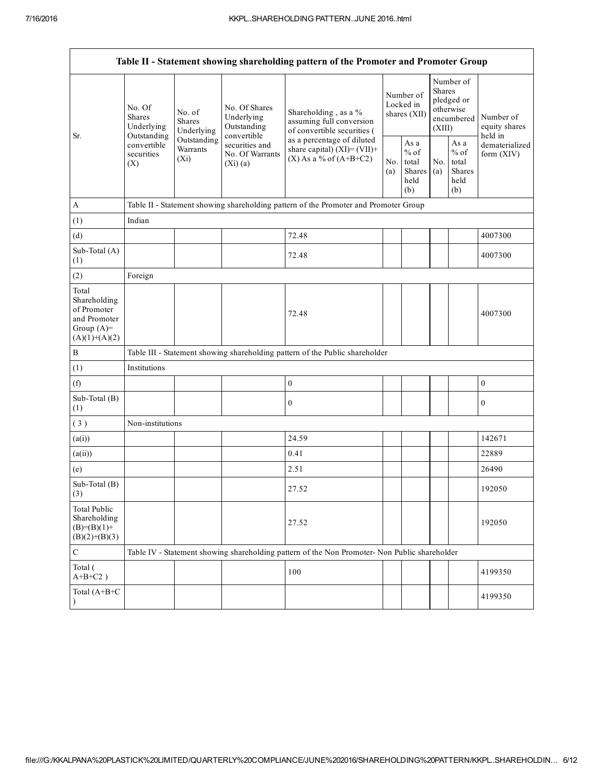| Table II - Statement showing shareholding pattern of the Promoter and Promoter Group    |                                                                  |                                                              |                                            |                                                                                               |                                        |                                                  |                                                                        |                                                  |                                       |
|-----------------------------------------------------------------------------------------|------------------------------------------------------------------|--------------------------------------------------------------|--------------------------------------------|-----------------------------------------------------------------------------------------------|----------------------------------------|--------------------------------------------------|------------------------------------------------------------------------|--------------------------------------------------|---------------------------------------|
| Sr.                                                                                     | No. Of<br>No. of<br><b>Shares</b><br><b>Shares</b><br>Underlying | Underlying                                                   | No. Of Shares<br>Underlying<br>Outstanding | Shareholding, as a %<br>assuming full conversion<br>of convertible securities (               | Number of<br>Locked in<br>shares (XII) |                                                  | Number of<br>Shares<br>pledged or<br>otherwise<br>encumbered<br>(XIII) |                                                  | Number of<br>equity shares<br>held in |
|                                                                                         | Outstanding<br>convertible<br>securities<br>(X)                  | convertible<br>Outstanding<br>Warrants<br>$(X_i)$<br>(Xi)(a) | securities and<br>No. Of Warrants          | as a percentage of diluted<br>share capital) $(XI) = (VII) +$<br>$(X)$ As a % of $(A+B+C2)$   |                                        | As a<br>$%$ of<br>total<br>Shares<br>held<br>(b) | No.<br>(a)                                                             | As a<br>$%$ of<br>total<br>Shares<br>held<br>(b) | dematerialized<br>form (XIV)          |
| $\mathbf{A}$                                                                            |                                                                  |                                                              |                                            | Table II - Statement showing shareholding pattern of the Promoter and Promoter Group          |                                        |                                                  |                                                                        |                                                  |                                       |
| (1)                                                                                     | Indian                                                           |                                                              |                                            |                                                                                               |                                        |                                                  |                                                                        |                                                  |                                       |
| (d)                                                                                     |                                                                  |                                                              |                                            | 72.48                                                                                         |                                        |                                                  |                                                                        |                                                  | 4007300                               |
| Sub-Total (A)<br>(1)                                                                    |                                                                  |                                                              |                                            | 72.48                                                                                         |                                        |                                                  |                                                                        |                                                  | 4007300                               |
| (2)                                                                                     | Foreign                                                          |                                                              |                                            |                                                                                               |                                        |                                                  |                                                                        |                                                  |                                       |
| Total<br>Shareholding<br>of Promoter<br>and Promoter<br>Group $(A)=$<br>$(A)(1)+(A)(2)$ |                                                                  |                                                              |                                            | 72.48                                                                                         |                                        |                                                  |                                                                        |                                                  | 4007300                               |
| $\, {\bf B}$                                                                            |                                                                  |                                                              |                                            | Table III - Statement showing shareholding pattern of the Public shareholder                  |                                        |                                                  |                                                                        |                                                  |                                       |
| (1)                                                                                     | Institutions                                                     |                                                              |                                            |                                                                                               |                                        |                                                  |                                                                        |                                                  |                                       |
| (f)                                                                                     |                                                                  |                                                              |                                            | $\boldsymbol{0}$                                                                              |                                        |                                                  |                                                                        |                                                  | $\boldsymbol{0}$                      |
| Sub-Total (B)<br>(1)                                                                    |                                                                  |                                                              |                                            | $\boldsymbol{0}$                                                                              |                                        |                                                  |                                                                        |                                                  | $\boldsymbol{0}$                      |
| (3)                                                                                     | Non-institutions                                                 |                                                              |                                            |                                                                                               |                                        |                                                  |                                                                        |                                                  |                                       |
| (a(i))                                                                                  |                                                                  |                                                              |                                            | 24.59                                                                                         |                                        |                                                  |                                                                        |                                                  | 142671                                |
| (a(ii))                                                                                 |                                                                  |                                                              |                                            | 0.41                                                                                          |                                        |                                                  |                                                                        |                                                  | 22889                                 |
| (e)                                                                                     |                                                                  |                                                              |                                            | 2.51                                                                                          |                                        |                                                  |                                                                        |                                                  | 26490                                 |
| Sub-Total (B)<br>$\left(3\right)$                                                       |                                                                  |                                                              |                                            | 27.52                                                                                         |                                        |                                                  |                                                                        |                                                  | 192050                                |
| <b>Total Public</b><br>Shareholding<br>$(B)=(B)(1)+$<br>$(B)(2)+(B)(3)$                 |                                                                  |                                                              |                                            | 27.52                                                                                         |                                        |                                                  |                                                                        |                                                  | 192050                                |
| $\mathbf C$                                                                             |                                                                  |                                                              |                                            | Table IV - Statement showing shareholding pattern of the Non Promoter- Non Public shareholder |                                        |                                                  |                                                                        |                                                  |                                       |
| Total (<br>$A+B+C2$ )                                                                   |                                                                  |                                                              |                                            | 100                                                                                           |                                        |                                                  |                                                                        |                                                  | 4199350                               |
| Total (A+B+C<br>$\lambda$                                                               |                                                                  |                                                              |                                            |                                                                                               |                                        |                                                  |                                                                        |                                                  | 4199350                               |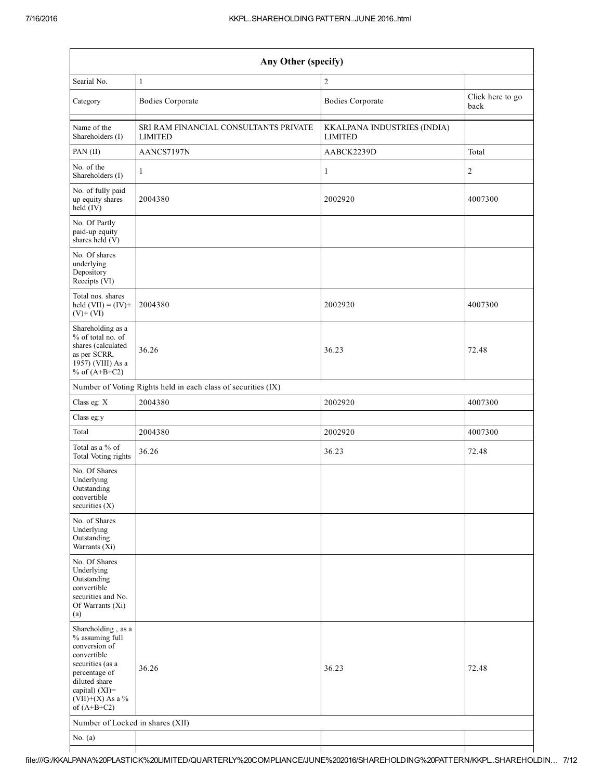| Any Other (specify)                                                                                                                                                                  |                                                               |                                               |                          |  |  |  |  |  |
|--------------------------------------------------------------------------------------------------------------------------------------------------------------------------------------|---------------------------------------------------------------|-----------------------------------------------|--------------------------|--|--|--|--|--|
| Searial No.                                                                                                                                                                          | $\mathbf{1}$                                                  | $\overline{2}$                                |                          |  |  |  |  |  |
| Category                                                                                                                                                                             | <b>Bodies Corporate</b>                                       | <b>Bodies Corporate</b>                       | Click here to go<br>back |  |  |  |  |  |
| Name of the<br>Shareholders (I)                                                                                                                                                      | SRI RAM FINANCIAL CONSULTANTS PRIVATE<br><b>LIMITED</b>       | KKALPANA INDUSTRIES (INDIA)<br><b>LIMITED</b> |                          |  |  |  |  |  |
| PAN $(II)$                                                                                                                                                                           | AANCS7197N                                                    | AABCK2239D                                    | Total                    |  |  |  |  |  |
| No. of the<br>Shareholders (I)                                                                                                                                                       | $\mathbf{1}$                                                  | 1                                             | $\boldsymbol{2}$         |  |  |  |  |  |
| No. of fully paid<br>up equity shares<br>held (IV)                                                                                                                                   | 2004380                                                       | 2002920                                       | 4007300                  |  |  |  |  |  |
| No. Of Partly<br>paid-up equity<br>shares held $(V)$                                                                                                                                 |                                                               |                                               |                          |  |  |  |  |  |
| No. Of shares<br>underlying<br>Depository<br>Receipts (VI)                                                                                                                           |                                                               |                                               |                          |  |  |  |  |  |
| Total nos. shares<br>held $(VII) = (IV) +$<br>$(V)+(VI)$                                                                                                                             | 2004380                                                       | 2002920                                       | 4007300                  |  |  |  |  |  |
| Shareholding as a<br>% of total no. of<br>shares (calculated<br>as per SCRR,<br>1957) (VIII) As a<br>% of $(A+B+C2)$                                                                 | 36.26                                                         | 36.23                                         | 72.48                    |  |  |  |  |  |
|                                                                                                                                                                                      | Number of Voting Rights held in each class of securities (IX) |                                               |                          |  |  |  |  |  |
| Class eg: X                                                                                                                                                                          | 2004380                                                       | 2002920                                       | 4007300                  |  |  |  |  |  |
| Class eg:y                                                                                                                                                                           |                                                               |                                               |                          |  |  |  |  |  |
| Total                                                                                                                                                                                | 2004380                                                       | 2002920                                       | 4007300                  |  |  |  |  |  |
| Total as a % of<br>Total Voting rights                                                                                                                                               | 36.26                                                         | 36.23                                         | 72.48                    |  |  |  |  |  |
| No. Of Shares<br>Underlying<br>Outstanding<br>convertible<br>securities $(X)$                                                                                                        |                                                               |                                               |                          |  |  |  |  |  |
| No. of Shares<br>Underlying<br>Outstanding<br>Warrants (Xi)                                                                                                                          |                                                               |                                               |                          |  |  |  |  |  |
| No. Of Shares<br>Underlying<br>Outstanding<br>convertible<br>securities and No.<br>Of Warrants (Xi)<br>(a)                                                                           |                                                               |                                               |                          |  |  |  |  |  |
| Shareholding, as a<br>% assuming full<br>conversion of<br>convertible<br>securities (as a<br>percentage of<br>diluted share<br>capital) (XI)=<br>$(VII)+(X)$ As a %<br>of $(A+B+C2)$ | 36.26                                                         | 36.23                                         | 72.48                    |  |  |  |  |  |
| Number of Locked in shares (XII)                                                                                                                                                     |                                                               |                                               |                          |  |  |  |  |  |
| No. $(a)$                                                                                                                                                                            |                                                               |                                               |                          |  |  |  |  |  |
|                                                                                                                                                                                      |                                                               |                                               |                          |  |  |  |  |  |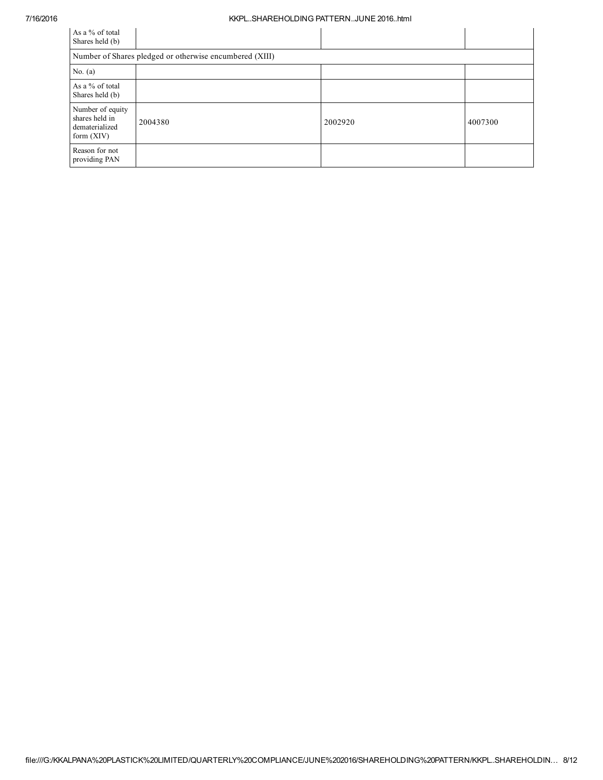## 7/16/2016 KKPL..SHAREHOLDING PATTERN..JUNE 2016..html

| As a % of total<br>Shares held (b)                                   |         |         |         |  |  |  |  |  |  |
|----------------------------------------------------------------------|---------|---------|---------|--|--|--|--|--|--|
| Number of Shares pledged or otherwise encumbered (XIII)              |         |         |         |  |  |  |  |  |  |
| No. $(a)$                                                            |         |         |         |  |  |  |  |  |  |
| As a % of total<br>Shares held (b)                                   |         |         |         |  |  |  |  |  |  |
| Number of equity<br>shares held in<br>dematerialized<br>form $(XIV)$ | 2004380 | 2002920 | 4007300 |  |  |  |  |  |  |
| Reason for not<br>providing PAN                                      |         |         |         |  |  |  |  |  |  |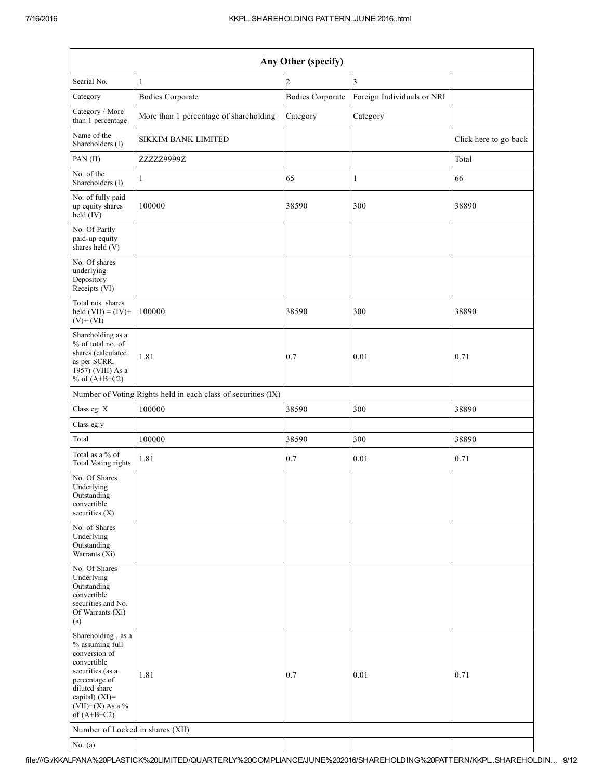| Any Other (specify)                                                                                                                                                                     |                                        |                         |                            |                       |  |  |  |  |  |  |
|-----------------------------------------------------------------------------------------------------------------------------------------------------------------------------------------|----------------------------------------|-------------------------|----------------------------|-----------------------|--|--|--|--|--|--|
| Searial No.                                                                                                                                                                             | $\mathbf{1}$                           | $\overline{2}$          | $\overline{3}$             |                       |  |  |  |  |  |  |
| Category                                                                                                                                                                                | <b>Bodies Corporate</b>                | <b>Bodies Corporate</b> | Foreign Individuals or NRI |                       |  |  |  |  |  |  |
| Category / More<br>than 1 percentage                                                                                                                                                    | More than 1 percentage of shareholding | Category                | Category                   |                       |  |  |  |  |  |  |
| Name of the<br>Shareholders (I)                                                                                                                                                         | SIKKIM BANK LIMITED                    |                         |                            | Click here to go back |  |  |  |  |  |  |
| PAN (II)                                                                                                                                                                                | ZZZZZ9999Z                             |                         |                            | Total                 |  |  |  |  |  |  |
| No. of the<br>Shareholders (I)                                                                                                                                                          | $\mathbf{1}$                           | 65                      | $\mathbf{1}$               | 66                    |  |  |  |  |  |  |
| No. of fully paid<br>up equity shares<br>held (IV)                                                                                                                                      | 100000                                 | 38590                   | 300                        | 38890                 |  |  |  |  |  |  |
| No. Of Partly<br>paid-up equity<br>shares held (V)                                                                                                                                      |                                        |                         |                            |                       |  |  |  |  |  |  |
| No. Of shares<br>underlying<br>Depository<br>Receipts (VI)                                                                                                                              |                                        |                         |                            |                       |  |  |  |  |  |  |
| Total nos. shares<br>held $(VII) = (IV) +$<br>$(V)+(VI)$                                                                                                                                | 100000                                 | 38590                   | 300                        | 38890                 |  |  |  |  |  |  |
| Shareholding as a<br>% of total no. of<br>shares (calculated<br>as per SCRR,<br>1957) (VIII) As a<br>% of $(A+B+C2)$                                                                    | 1.81                                   | 0.7                     | 0.01                       | 0.71                  |  |  |  |  |  |  |
| Number of Voting Rights held in each class of securities (IX)                                                                                                                           |                                        |                         |                            |                       |  |  |  |  |  |  |
| Class eg: X                                                                                                                                                                             | 100000                                 | 38590                   | 300                        | 38890                 |  |  |  |  |  |  |
| Class eg:y                                                                                                                                                                              |                                        |                         |                            |                       |  |  |  |  |  |  |
| Total                                                                                                                                                                                   | 100000                                 | 38590                   | 300                        | 38890                 |  |  |  |  |  |  |
| Total as a % of<br>Total Voting rights                                                                                                                                                  | 1.81                                   | 0.7                     | 0.01                       | 0.71                  |  |  |  |  |  |  |
| No. Of Shares<br>Underlying<br>Outstanding<br>convertible<br>securities $(X)$                                                                                                           |                                        |                         |                            |                       |  |  |  |  |  |  |
| No. of Shares<br>Underlying<br>Outstanding<br>Warrants $(Xi)$                                                                                                                           |                                        |                         |                            |                       |  |  |  |  |  |  |
| No. Of Shares<br>Underlying<br>Outstanding<br>convertible<br>securities and No.<br>Of Warrants (Xi)<br>(a)                                                                              |                                        |                         |                            |                       |  |  |  |  |  |  |
| Shareholding, as a<br>% assuming full<br>conversion of<br>convertible<br>securities (as a<br>percentage of<br>diluted share<br>capital) $(XI)$ =<br>$(VII)+(X)$ As a %<br>of $(A+B+C2)$ | 1.81                                   | 0.7                     | 0.01                       | 0.71                  |  |  |  |  |  |  |
| Number of Locked in shares (XII)                                                                                                                                                        |                                        |                         |                            |                       |  |  |  |  |  |  |
| No. $(a)$                                                                                                                                                                               |                                        |                         |                            |                       |  |  |  |  |  |  |

file:///G:/KKALPANA%20PLASTICK%20LIMITED/QUARTERLY%20COMPLIANCE/JUNE%202016/SHAREHOLDING%20PATTERN/KKPL..SHAREHOLDIN… 9/12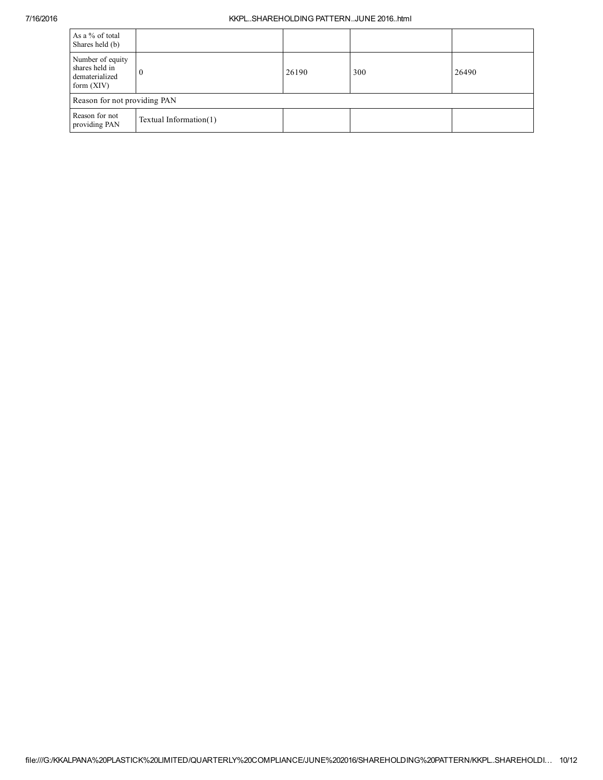## 7/16/2016 KKPL..SHAREHOLDING PATTERN..JUNE 2016..html

| As a % of total<br>Shares held (b)                                   |                        |       |     |       |  |  |  |  |  |
|----------------------------------------------------------------------|------------------------|-------|-----|-------|--|--|--|--|--|
| Number of equity<br>shares held in<br>dematerialized<br>form $(XIV)$ |                        | 26190 | 300 | 26490 |  |  |  |  |  |
| Reason for not providing PAN                                         |                        |       |     |       |  |  |  |  |  |
| Reason for not<br>providing PAN                                      | Textual Information(1) |       |     |       |  |  |  |  |  |